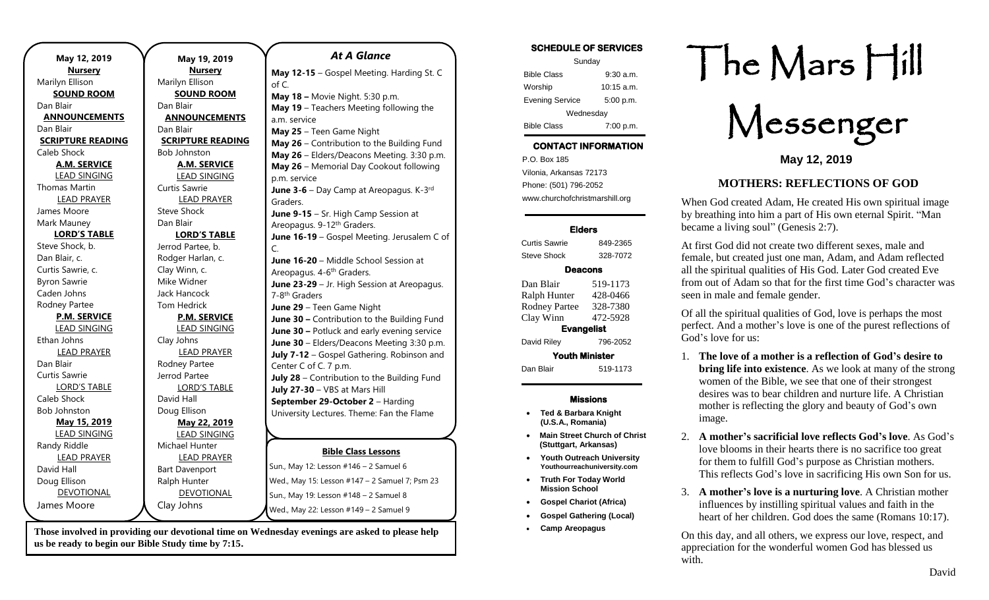| May 12, 2019             | May 19, 2019             | <b>At A Glance</b>                             |
|--------------------------|--------------------------|------------------------------------------------|
| <b>Nursery</b>           | <b>Nursery</b>           | May 12-15 - Gospel Meeting. Harding St. C      |
| Marilyn Ellison          | Marilyn Ellison          | of C.                                          |
| <b>SOUND ROOM</b>        | <b>SOUND ROOM</b>        | May 18 - Movie Night. 5:30 p.m.                |
| Dan Blair                | Dan Blair                | May 19 - Teachers Meeting following the        |
| <b>ANNOUNCEMENTS</b>     | <b>ANNOUNCEMENTS</b>     | a.m. service                                   |
| Dan Blair                | Dan Blair                | May 25 - Teen Game Night                       |
| <b>SCRIPTURE READING</b> | <b>SCRIPTURE READING</b> | May 26 - Contribution to the Building Fund     |
| Caleb Shock              | <b>Bob Johnston</b>      | May 26 - Elders/Deacons Meeting. 3:30 p.m.     |
| <b>A.M. SERVICE</b>      | <b>A.M. SERVICE</b>      | May 26 - Memorial Day Cookout following        |
| <b>LEAD SINGING</b>      | <b>LEAD SINGING</b>      | p.m. service                                   |
| <b>Thomas Martin</b>     | Curtis Sawrie            | June 3-6 - Day Camp at Areopagus. K-3rd        |
| <b>LEAD PRAYER</b>       | <b>LEAD PRAYER</b>       | Graders.                                       |
| James Moore              | <b>Steve Shock</b>       | June 9-15 - Sr. High Camp Session at           |
| Mark Mauney              | Dan Blair                | Areopagus. 9-12 <sup>th</sup> Graders.         |
| <b>LORD'S TABLE</b>      | <b>LORD'S TABLE</b>      | June 16-19 - Gospel Meeting. Jerusalem C of    |
| Steve Shock, b.          | Jerrod Partee, b.        | C.                                             |
| Dan Blair, c.            | Rodger Harlan, c.        | June 16-20 - Middle School Session at          |
| Curtis Sawrie, c.        | Clay Winn, c.            | Areopagus. 4-6 <sup>th</sup> Graders.          |
| <b>Byron Sawrie</b>      | Mike Widner              | June 23-29 - Jr. High Session at Areopagus.    |
| Caden Johns              | Jack Hancock             | 7-8 <sup>th</sup> Graders                      |
| Rodney Partee            | Tom Hedrick              | June 29 - Teen Game Night                      |
| <b>P.M. SERVICE</b>      | <b>P.M. SERVICE</b>      | June 30 - Contribution to the Building Fund    |
| <b>LEAD SINGING</b>      | <b>LEAD SINGING</b>      | June 30 - Potluck and early evening service    |
| Ethan Johns              | Clay Johns               | June 30 - Elders/Deacons Meeting 3:30 p.m.     |
| <b>LEAD PRAYER</b>       | <b>LEAD PRAYER</b>       | July 7-12 - Gospel Gathering. Robinson and     |
| Dan Blair                | Rodney Partee            | Center C of C. 7 p.m.                          |
| Curtis Sawrie            | Jerrod Partee            | July 28 - Contribution to the Building Fund    |
| <b>LORD'S TABLE</b>      | <b>LORD'S TABLE</b>      | July 27-30 - VBS at Mars Hill                  |
| Caleb Shock              | David Hall               | September 29-October 2 - Harding               |
| <b>Bob Johnston</b>      | Doug Ellison             | University Lectures. Theme: Fan the Flame      |
| May 15, 2019             | May 22, 2019             |                                                |
| <b>LEAD SINGING</b>      | <b>LEAD SINGING</b>      |                                                |
| Randy Riddle             | Michael Hunter           | <b>Bible Class Lessons</b>                     |
| <b>LEAD PRAYER</b>       | <b>LEAD PRAYER</b>       |                                                |
| David Hall               | <b>Bart Davenport</b>    | Sun., May 12: Lesson #146 - 2 Samuel 6         |
| Doug Ellison             | Ralph Hunter             | Wed., May 15: Lesson #147 - 2 Samuel 7; Psm 23 |
| <b>DEVOTIONAL</b>        | DEVOTIONAL               | Sun., May 19: Lesson #148 - 2 Samuel 8         |
| James Moore              | Clay Johns               | Wed., May 22: Lesson #149 - 2 Samuel 9         |

**Those involved in providing our devotional time on Wednesday evenings are asked to please help us be ready to begin our Bible Study time by 7:15.** 

### **SCHEDULE OF SERVICES**  Sunday Bible Class 9:30 a.m. Worship 10:15 a.m. Evening Service 5:00 p.m. Wednesday Bible Class 7:00 p.m.

# **CONTACT INFORMATION**

. .o. Box 166<br>Vilonia, Arkansas 72173 P.O. Box 185 Phone: (501) 796-2052 www.churchofchristmarshill.org

### **Elders**

Curtis Sawrie 849-2365 Steve Shock 328-7072

## **Deacons**

Dan Blair 519-1173 Ralph Hunter 428-0466 Rodney Partee 328-7380 Clay Winn 472-5928 **Evangelist**  David Riley 796-2052 **Youth Minister**  Dan Blair 519-1173

### **Missions**

- **Ted & Barbara Knight (U.S.A., Romania)**
- **Main Street Church of Christ (Stuttgart, Arkansas)**
- **Youth Outreach University Youthourreachuniversity.com**
- **Truth For Today World Mission School**
- **Gospel Chariot (Africa)**
- **Gospel Gathering (Local)**
- **Camp Areopagus**

# The Mars Hill

Messenger

**May 12, 2019**

### **MOTHERS: REFLECTIONS OF GOD**

When God created Adam, He created His own spiritual image by breathing into him a part of His own eternal Spirit. "Man became a living soul" (Genesis 2:7).

At first God did not create two different sexes, male and female, but created just one man, Adam, and Adam reflected all the spiritual qualities of His God. Later God created Eve from out of Adam so that for the first time God's character was seen in male and female gender.

Of all the spiritual qualities of God, love is perhaps the most perfect. And a mother's love is one of the purest reflections of God's love for us:

- 1. **The love of a mother is a reflection of God's desire to bring life into existence**. As we look at many of the strong women of the Bible, we see that one of their strongest desires was to bear children and nurture life. A Christian mother is reflecting the glory and beauty of God's own image.
- 2. **A mother's sacrificial love reflects God's love**. As God's love blooms in their hearts there is no sacrifice too great for them to fulfill God's purpose as Christian mothers. This reflects God's love in sacrificing His own Son for us.
- 3. **A mother's love is a nurturing love**. A Christian mother influences by instilling spiritual values and faith in the heart of her children. God does the same (Romans 10:17).

On this day, and all others, we express our love, respect, and appreciation for the wonderful women God has blessed us with.